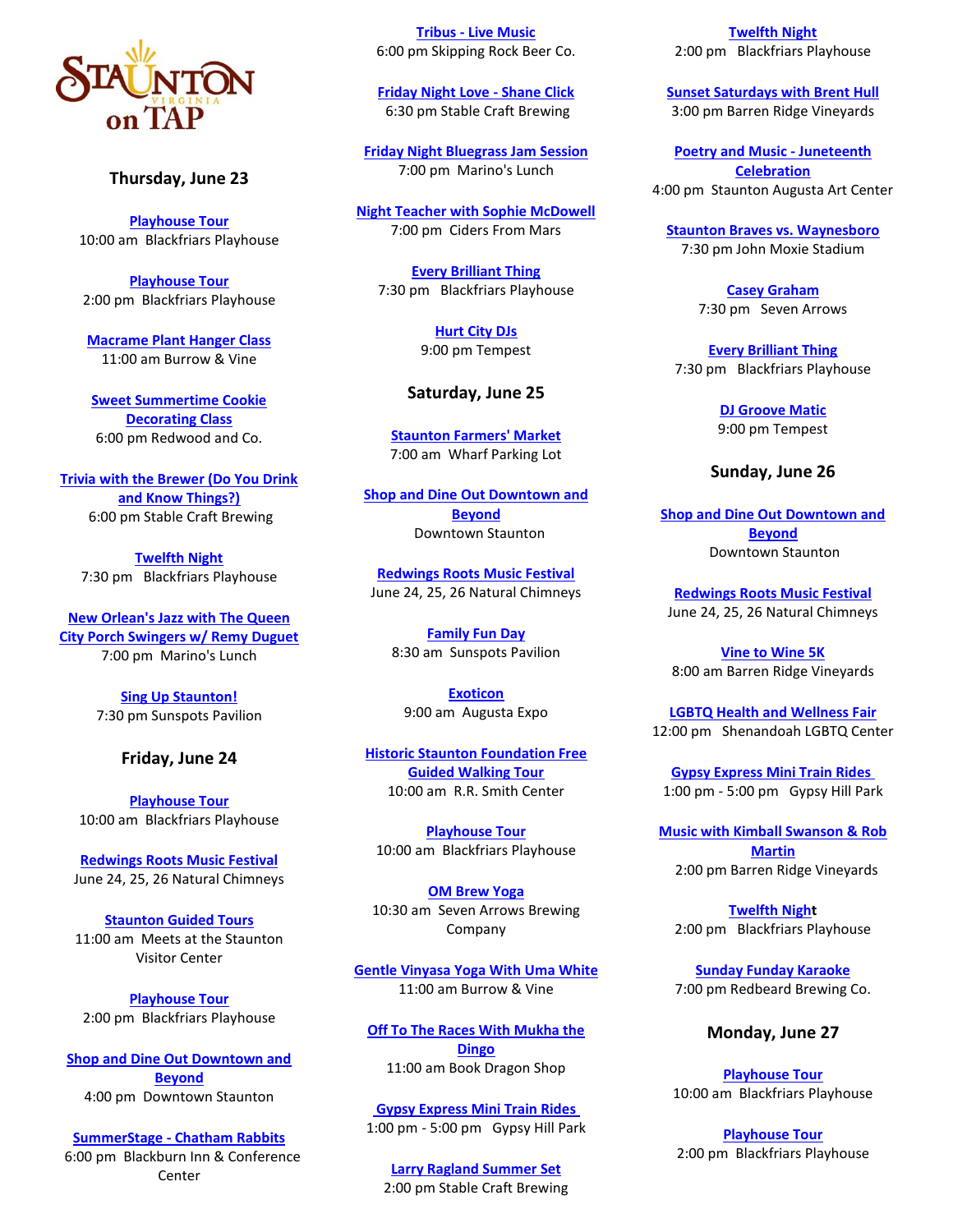

# **Thursday, June 23**

**[Playhouse Tour](https://americanshakespearecenter.com/events/playhouse-tours/)** 10:00 am Blackfriars Playhouse

**[Playhouse Tour](https://americanshakespearecenter.com/events/playhouse-tours/)** 2:00 pm Blackfriars Playhouse

**[Macrame Plant Hanger Class](https://fb.me/e/5jZZBIuH4)** 11:00 am Burrow & Vine

**[Sweet Summertime Cookie](https://fb.me/e/ikoUEWiTn)  [Decorating Class](https://fb.me/e/ikoUEWiTn)** 6:00 pm Redwood and Co.

**[Trivia with the Brewer \(Do You Drink](https://fb.me/e/3g9qg60Ob)  [and Know Things?\)](https://fb.me/e/3g9qg60Ob)** 6:00 pm Stable Craft Brewing

**[Twelfth Night](https://americanshakespearecenter.com/calendar/)** 7:30 pm Blackfriars Playhouse

**[New Orlean's Jazz with The Queen](https://fb.me/e/6grZzBg56)  [City Porch Swingers w/ Remy Duguet](https://fb.me/e/6grZzBg56)** 7:00 pm Marino's Lunch

> **[Sing Up Staunton!](https://www.facebook.com/groups/2437017933075379)** 7:30 pm Sunspots Pavilion

### **Friday, June 24**

**[Playhouse Tour](https://americanshakespearecenter.com/events/playhouse-tours/)** 10:00 am Blackfriars Playhouse

**[Redwings Roots Music Festival](https://www.redwingroots.com/)** June 24, 25, 26 Natural Chimneys

**[Staunton Guided Tours](http://stauntonguidedtours.com/)** 11:00 am Meets at the Staunton Visitor Center

**[Playhouse Tour](https://americanshakespearecenter.com/events/playhouse-tours/)** 2:00 pm Blackfriars Playhouse

**[Shop and Dine Out Downtown and](https://visitstaunton.com/dine-out-in-downtown-and-beyond/)  [Beyond](https://visitstaunton.com/dine-out-in-downtown-and-beyond/)** 4:00 pm Downtown Staunton

**SummerStage - [Chatham Rabbits](https://fb.me/e/3ZTZWzFkX)** 6:00 pm Blackburn Inn & Conference Center

**Tribus - [Live Music](https://fb.me/e/4DYLUh70Z)** 6:00 pm Skipping Rock Beer Co.

**[Friday Night Love -](https://fb.me/e/4sAntWjOy) Shane Click** 6:30 pm Stable Craft Brewing

**[Friday Night Bluegrass Jam Session](https://fb.me/e/1x074Qio4)** 7:00 pm Marino's Lunch

**[Night Teacher with Sophie McDowell](https://fb.me/e/dc6xVyIMu)** 7:00 pm Ciders From Mars

**[Every Brilliant Thing](https://americanshakespearecenter.com/calendar/)** 7:30 pm Blackfriars Playhouse

> **[Hurt City DJs](https://www.facebook.com/TempestBarandLounge)** 9:00 pm Tempest

**Saturday, June 25**

**[Staunton Farmers' Market](https://stauntonfarmersmarket.org/)** 7:00 am Wharf Parking Lot

**[Shop and Dine Out Downtown and](https://visitstaunton.com/dine-out-in-downtown-and-beyond/)  [Beyond](https://visitstaunton.com/dine-out-in-downtown-and-beyond/)** Downtown Staunton

**[Redwings Roots Music Festival](https://www.redwingroots.com/)** June 24, 25, 26 Natural Chimneys

**[Family Fun Day](https://fb.me/e/2ujE75FMY)** 8:30 am Sunspots Pavilion

**[Exoticon](https://fb.me/e/1MV6JKWd9)** 9:00 am Augusta Expo

**[Historic Staunton Foundation Free](https://www.historicstaunton.org/historic-districts-of-staunton__trashed/walking-tours/)  [Guided Walking Tour](https://www.historicstaunton.org/historic-districts-of-staunton__trashed/walking-tours/)** 10:00 am R.R. Smith Center

**Playhouse Tour** 10:00 am Blackfriars Playhouse

**[OM Brew Yoga](https://fb.me/e/1iD7MIQHw)** 10:30 am Seven Arrows Brewing Company

**[Gentle Vinyasa Yoga With Uma White](https://fb.me/e/oStKkqnDY)** 11:00 am Burrow & Vine

**[Off To The Races With Mukha the](https://fb.me/e/6P6leQV8z)  [Dingo](https://fb.me/e/6P6leQV8z)** 11:00 am Book Dragon Shop

**[Gypsy Express Mini Train Rides](https://www.ci.staunton.va.us/departments/parks-recreation-/parks-/gypsy-hill-park/gypsy-express-mini-train)** 1:00 pm - 5:00 pm Gypsy Hill Park

**[Larry Ragland Summer Set](https://fb.me/e/2EY5uGkuq)** 2:00 pm Stable Craft Brewing

**[Twelfth Night](https://americanshakespearecenter.com/calendar/)** 2:00 pm Blackfriars Playhouse

**[Sunset Saturdays with Brent](https://fb.me/e/2qJ6gWJ6j) Hull** 3:00 pm Barren Ridge Vineyards

**[Poetry and Music -](https://fb.me/e/2tPAr4bNH) Juneteenth [Celebration](https://fb.me/e/2tPAr4bNH)** 4:00 pm Staunton Augusta Art Center

**[Staunton Braves vs. Waynesboro](https://www.stauntonbravesbaseball.com/schedule)** 7:30 pm John Moxie Stadium

> **[Casey Graham](https://fb.me/e/3jBxViW22)** 7:30 pm Seven Arrows

**[Every Brilliant Thing](https://americanshakespearecenter.com/calendar/)** 7:30 pm Blackfriars Playhouse

> **[DJ Groove Matic](https://www.facebook.com/TempestBarandLounge)** 9:00 pm Tempest

### **Sunday, June 26**

**[Shop and Dine Out Downtown and](https://visitstaunton.com/dine-out-in-downtown-and-beyond/)  [Beyond](https://visitstaunton.com/dine-out-in-downtown-and-beyond/)** Downtown Staunton

**[Redwings Roots Music Festival](https://www.redwingroots.com/)** June 24, 25, 26 Natural Chimneys

**[Vine to Wine 5K](https://fb.me/e/3dDHKNe9B)** 8:00 am Barren Ridge Vineyards

**[LGBTQ Health and Wellness Fair](https://fb.me/e/5NPqa50AQ)** 12:00 pm Shenandoah LGBTQ Center

**[Gypsy Express Mini Train Rides](https://www.ci.staunton.va.us/departments/parks-recreation-/parks-/gypsy-hill-park/gypsy-express-mini-train)** 1:00 pm - 5:00 pm Gypsy Hill Park

**[Music with Kimball Swanson & Rob](https://www.facebook.com/barrenridgevineyards)  [Martin](https://www.facebook.com/barrenridgevineyards)** 2:00 pm Barren Ridge Vineyards

**[Twelfth Night](https://americanshakespearecenter.com/calendar/)** 2:00 pm Blackfriars Playhouse

**[Sunday Funday Karaoke](https://fb.me/e/4XUSr6LXd)** 7:00 pm Redbeard Brewing Co.

**Monday, June 27**

**[Playhouse Tour](https://americanshakespearecenter.com/events/playhouse-tours/)** 10:00 am Blackfriars Playhouse

**[Playhouse Tour](https://americanshakespearecenter.com/events/playhouse-tours/)** 2:00 pm Blackfriars Playhouse